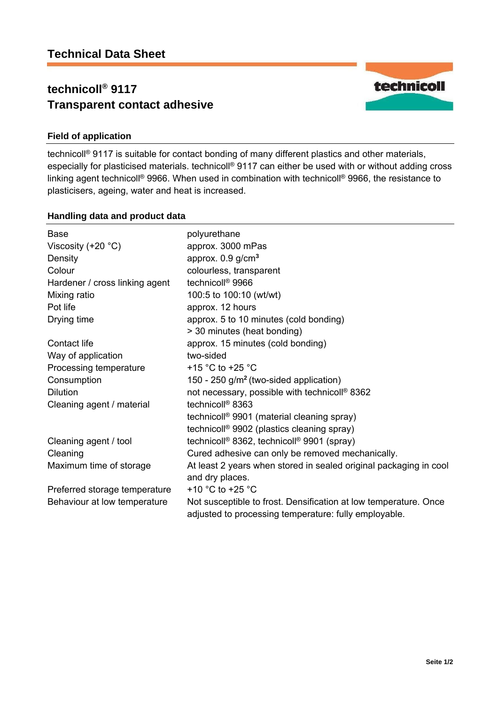# **technicoll® 9117 Transparent contact adhesive**



## **Field of application**

technicoll® 9117 is suitable for contact bonding of many different plastics and other materials, especially for plasticised materials. technicoll® 9117 can either be used with or without adding cross linking agent technicoll® 9966. When used in combination with technicoll® 9966, the resistance to plasticisers, ageing, water and heat is increased.

### **Handling data and product data**

| <b>Base</b>                    | polyurethane                                                                                                              |  |
|--------------------------------|---------------------------------------------------------------------------------------------------------------------------|--|
| Viscosity $(+20 °C)$           | approx. 3000 mPas                                                                                                         |  |
| Density                        | approx. $0.9$ g/cm <sup>3</sup>                                                                                           |  |
| Colour                         | colourless, transparent                                                                                                   |  |
| Hardener / cross linking agent | technicoll <sup>®</sup> 9966                                                                                              |  |
| Mixing ratio                   | 100:5 to 100:10 (wt/wt)                                                                                                   |  |
| Pot life                       | approx. 12 hours                                                                                                          |  |
| Drying time                    | approx. 5 to 10 minutes (cold bonding)                                                                                    |  |
|                                | > 30 minutes (heat bonding)                                                                                               |  |
| Contact life                   | approx. 15 minutes (cold bonding)                                                                                         |  |
| Way of application             | two-sided                                                                                                                 |  |
| Processing temperature         | +15 $\degree$ C to +25 $\degree$ C                                                                                        |  |
| Consumption                    | 150 - 250 g/m <sup>2</sup> (two-sided application)                                                                        |  |
| <b>Dilution</b>                | not necessary, possible with technicoll <sup>®</sup> 8362                                                                 |  |
| Cleaning agent / material      | technicoll <sup>®</sup> 8363                                                                                              |  |
|                                | technicoll <sup>®</sup> 9901 (material cleaning spray)                                                                    |  |
|                                | technicoll <sup>®</sup> 9902 (plastics cleaning spray)                                                                    |  |
| Cleaning agent / tool          | technicoll <sup>®</sup> 8362, technicoll <sup>®</sup> 9901 (spray)                                                        |  |
| Cleaning                       | Cured adhesive can only be removed mechanically.                                                                          |  |
| Maximum time of storage        | At least 2 years when stored in sealed original packaging in cool                                                         |  |
|                                | and dry places.                                                                                                           |  |
| Preferred storage temperature  | +10 $^{\circ}$ C to +25 $^{\circ}$ C                                                                                      |  |
| Behaviour at low temperature   | Not susceptible to frost. Densification at low temperature. Once<br>adjusted to processing temperature: fully employable. |  |